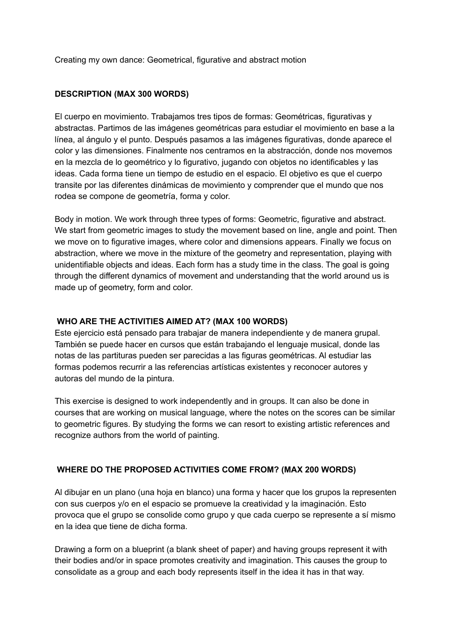Creating my own dance: Geometrical, figurative and abstract motion

## **DESCRIPTION (MAX 300 WORDS)**

El cuerpo en movimiento. Trabajamos tres tipos de formas: Geométricas, figurativas y abstractas. Partimos de las imágenes geométricas para estudiar el movimiento en base a la línea, al ángulo y el punto. Después pasamos a las imágenes figurativas, donde aparece el color y las dimensiones. Finalmente nos centramos en la abstracción, donde nos movemos en la mezcla de lo geométrico y lo figurativo, jugando con objetos no identificables y las ideas. Cada forma tiene un tiempo de estudio en el espacio. El objetivo es que el cuerpo transite por las diferentes dinámicas de movimiento y comprender que el mundo que nos rodea se compone de geometría, forma y color.

Body in motion. We work through three types of forms: Geometric, figurative and abstract. We start from geometric images to study the movement based on line, angle and point. Then we move on to figurative images, where color and dimensions appears. Finally we focus on abstraction, where we move in the mixture of the geometry and representation, playing with unidentifiable objects and ideas. Each form has a study time in the class. The goal is going through the different dynamics of movement and understanding that the world around us is made up of geometry, form and color.

## **WHO ARE THE ACTIVITIES AIMED AT? (MAX 100 WORDS)**

Este ejercicio está pensado para trabajar de manera independiente y de manera grupal. También se puede hacer en cursos que están trabajando el lenguaje musical, donde las notas de las partituras pueden ser parecidas a las figuras geométricas. Al estudiar las formas podemos recurrir a las referencias artísticas existentes y reconocer autores y autoras del mundo de la pintura.

This exercise is designed to work independently and in groups. It can also be done in courses that are working on musical language, where the notes on the scores can be similar to geometric figures. By studying the forms we can resort to existing artistic references and recognize authors from the world of painting.

# **WHERE DO THE PROPOSED ACTIVITIES COME FROM? (MAX 200 WORDS)**

Al dibujar en un plano (una hoja en blanco) una forma y hacer que los grupos la representen con sus cuerpos y/o en el espacio se promueve la creatividad y la imaginación. Esto provoca que el grupo se consolide como grupo y que cada cuerpo se represente a sí mismo en la idea que tiene de dicha forma.

Drawing a form on a blueprint (a blank sheet of paper) and having groups represent it with their bodies and/or in space promotes creativity and imagination. This causes the group to consolidate as a group and each body represents itself in the idea it has in that way.